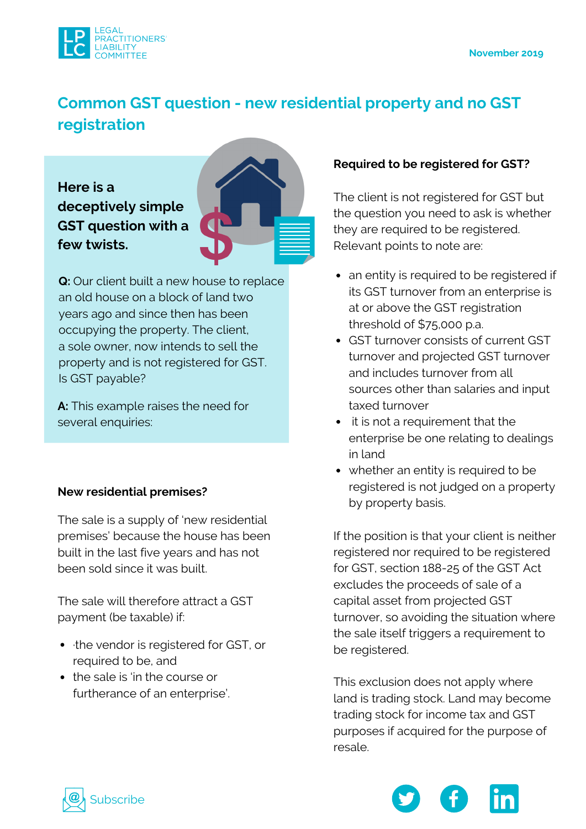

# **Common GST question - new residential property and no GST [registration](https://lplc.com.au/blog/common-gst-question-new-residential-property-and-no-gst-registration/)**

**Here is a deceptively [simple](https://lplc.com.au/blog/common-gst-question-new-residential-property-and-no-gst-registration/) GST question with a few twists.**



**Q:** Our client built a new house to replace an old house on a block of land two years ago and since then has been occupying the property. The client, a sole owner, now intends to sell the property and is not registered for GST. Is GST payable?

**A:** This example raises the need for several enquiries:

## **New residential premises?**

The sale is a supply of 'new residential premises' because the house has been built in the last five years and has not been sold since it was built.

The sale will therefore attract a GST payment (be taxable) if:

- the vendor is registered for GST, or required to be, and
- the sale is 'in the course or furtherance of an enterprise'.

## **Required to be registered for GST?**

The client is not registered for GST but the question you need to ask is whether they are required to be registered. Relevant points to note are:

- an entity is required to be registered if its GST turnover from an enterprise is at or above the GST registration threshold of \$75,000 p.a.
- GST turnover consists of current GST turnover and projected GST turnover and includes turnover from all sources other than salaries and input taxed turnover
- it is not a requirement that the enterprise be one relating to dealings in land
- whether an entity is required to be registered is not judged on a property by property basis.

If the position is that your client is neither registered nor required to be registered for GST, section 188-25 of the GST Act excludes the proceeds of sale of a capital asset from projected GST turnover, so avoiding the situation where the sale itself triggers a requirement to be registered.

This exclusion does not apply where land is trading stock. Land may become trading stock for income tax and GST purposes if acquired for the purpose of resale.